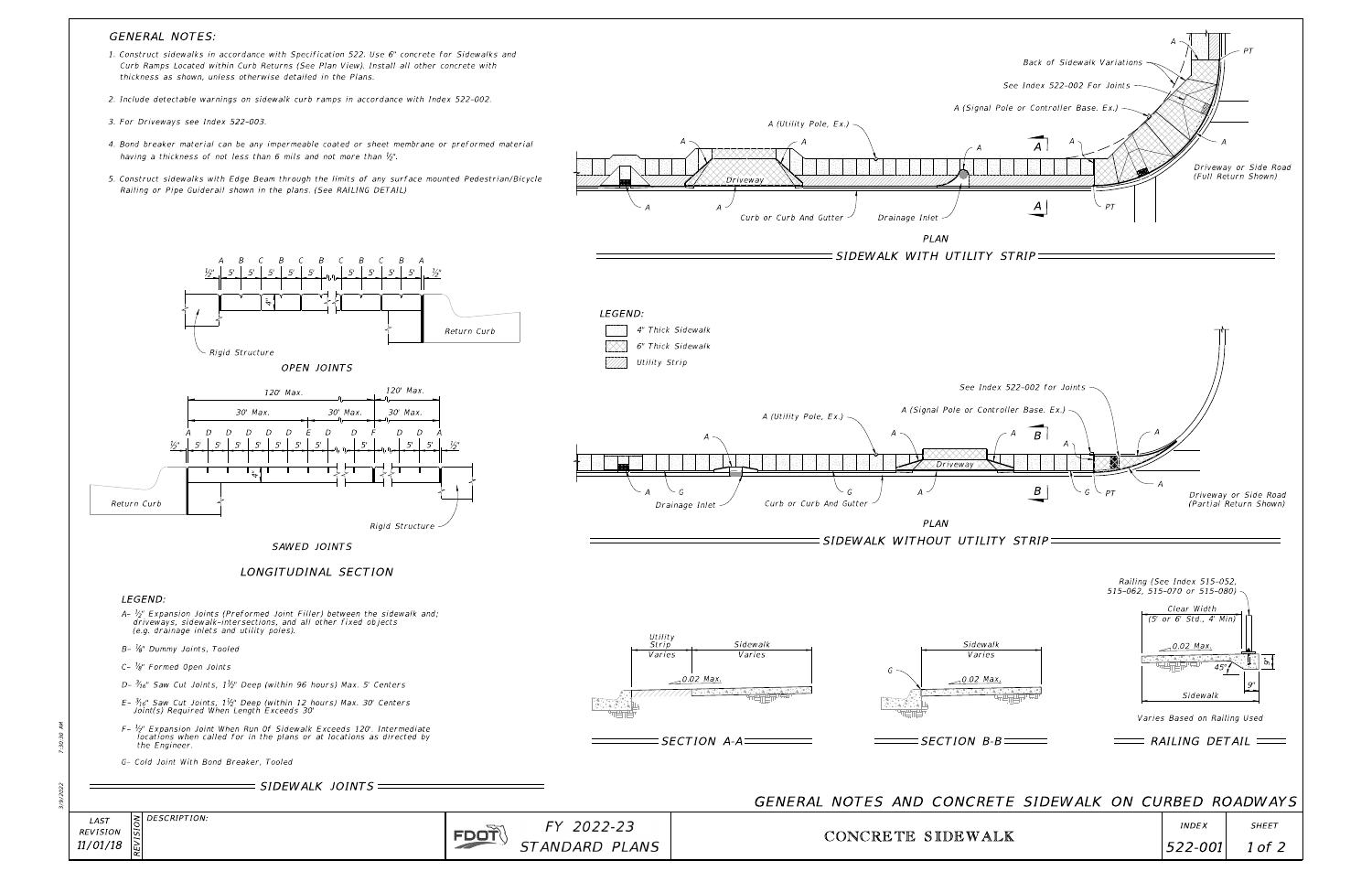3/9/2022 7:30:30 AM

|  | $\left  \xi \right $ DESCRIPTION: |
|--|-----------------------------------|
|  |                                   |
|  |                                   |
|  |                                   |

| FY 2022-23            |  |  |
|-----------------------|--|--|
| <i>STANDARD PLANS</i> |  |  |

FDOT

REVISION REVISION LAST 11/01/18



## GENERAL NOTES:

### LEGEND:

- (e.g. drainage inlets and utility poles). driveways, sidewalk-intersections, and all other fixed objects  $2 - \frac{1}{2}$ " Expansion Joints (Preformed Joint Filler) between the sidewalk and;
- B-  $\frac{1}{8}$ " Dummy Joints, Tooled
- $C \frac{1}{8}$ " Formed Open Joints
- D-  $\frac{3}{16}$ " Saw Cut Joints, 1 $\frac{1}{2}$ " Deep (within 96 hours) Max. 5' Centers
- Joint(s) Required When Length Exceeds 30'  $E$ -  $\frac{3}{16}$ " Saw Cut Joints,  $1\frac{1}{2}$ " Deep (within 12 hours) Max. 30' Centers
- the Engineer.  $F$ -  $\frac{1}{2}$ " Expansion Joint When Run Of Sidewalk Exceeds 120'. Intermediate locations when called for in the plans or at locations as directed by
- G- Cold Joint With Bond Breaker, Tooled

| $SIDEWALK$ JOINTS $=$ |  |
|-----------------------|--|
|                       |  |





- thickness as shown, unless otherwise detailed in the Plans. Curb Ramps Located within Curb Returns (See Plan View). Install all other concrete with 1. Construct sidewalks in accordance with Specification 522. Use 6" concrete for Sidewalks and
- 2. Include detectable warnings on sidewalk curb ramps in accordance with Index 522-002.
- 3. For Driveways see Index 522-003.
- having a thickness of not less than 6 mils and not more than  $\frac{1}{2}$ . 4. Bond breaker material can be any impermeable coated or sheet membrane or preformed material
- Railing or Pipe Guiderail shown in the plans. (See RAILING DETAIL) 5. Construct sidewalks with Edge Beam through the limits of any surface mounted Pedestrian/Bicycle

# LONGITUDINAL SECTION

SAWED JOINTS

A B C B C B C B C B A